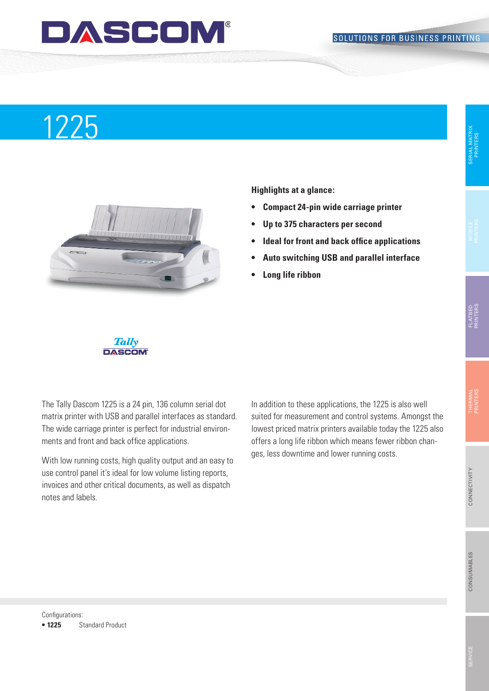## **DASCOM®**

# 1225 and the set of the set of the set of the set of the set of the set of the set of the set of the set of th



**Highlights at a glance:**

- **• Compact 24-pin wide carriage printer**
- **• Up to 375 characters per second**
- **• Ideal for front and back office applications**
- **• Auto switching USB and parallel interface**
- **Long** life ribbon



The Tally Dascom 1225 is a 24 pin, 136 column serial dot matrix printer with USB and parallel interfaces as standard. The wide carriage printer is perfect for industrial environments and front and back office applications.

With low running costs, high quality output and an easy to use control panel it's ideal for low volume listing reports, invoices and other critical documents, as well as dispatch notes and labels.

In addition to these applications, the 1225 is also well suited for measurement and control systems. Amongst the lowest priced matrix printers available today the 1225 also offers a long life ribbon which means fewer ribbon changes, less downtime and lower running costs.